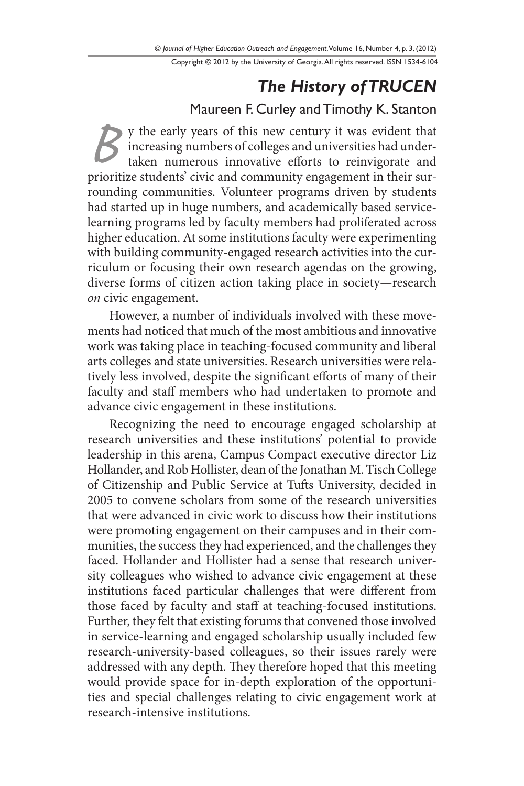Copyright © 2012 by the University of Georgia. All rights reserved. ISSN 1534-6104

# *The History of TRUCEN*

## Maureen F. Curley and Timothy K. Stanton

*B* y the early years of this new century it was evident that increasing numbers of colleges and universities had undertaken numerous innovative efforts to reinvigorate and prioritize students' civic and community engagement in their surrounding communities. Volunteer programs driven by students had started up in huge numbers, and academically based servicelearning programs led by faculty members had proliferated across higher education. At some institutions faculty were experimenting with building community-engaged research activities into the curriculum or focusing their own research agendas on the growing, diverse forms of citizen action taking place in society—research *on* civic engagement.

However, a number of individuals involved with these movements had noticed that much of the most ambitious and innovative work was taking place in teaching-focused community and liberal arts colleges and state universities. Research universities were relatively less involved, despite the significant efforts of many of their faculty and staff members who had undertaken to promote and advance civic engagement in these institutions.

Recognizing the need to encourage engaged scholarship at research universities and these institutions' potential to provide leadership in this arena, Campus Compact executive director Liz Hollander, and Rob Hollister, dean of the Jonathan M. Tisch College of Citizenship and Public Service at Tufts University, decided in 2005 to convene scholars from some of the research universities that were advanced in civic work to discuss how their institutions were promoting engagement on their campuses and in their communities, the success they had experienced, and the challenges they faced. Hollander and Hollister had a sense that research university colleagues who wished to advance civic engagement at these institutions faced particular challenges that were different from those faced by faculty and staff at teaching-focused institutions. Further, they felt that existing forums that convened those involved in service-learning and engaged scholarship usually included few research-university-based colleagues, so their issues rarely were addressed with any depth. They therefore hoped that this meeting would provide space for in-depth exploration of the opportunities and special challenges relating to civic engagement work at research-intensive institutions.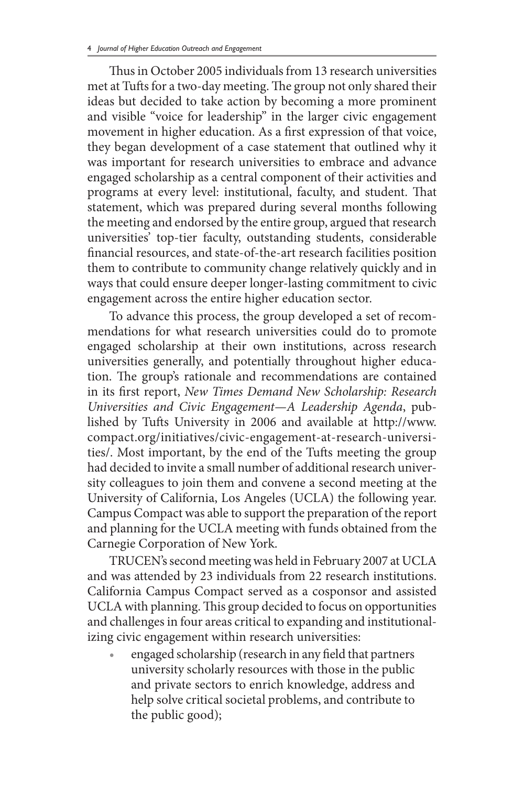Thus in October 2005 individuals from 13 research universities met at Tufts for a two-day meeting. The group not only shared their ideas but decided to take action by becoming a more prominent and visible "voice for leadership" in the larger civic engagement movement in higher education. As a first expression of that voice, they began development of a case statement that outlined why it was important for research universities to embrace and advance engaged scholarship as a central component of their activities and programs at every level: institutional, faculty, and student. That statement, which was prepared during several months following the meeting and endorsed by the entire group, argued that research universities' top-tier faculty, outstanding students, considerable financial resources, and state-of-the-art research facilities position them to contribute to community change relatively quickly and in ways that could ensure deeper longer-lasting commitment to civic engagement across the entire higher education sector.

To advance this process, the group developed a set of recommendations for what research universities could do to promote engaged scholarship at their own institutions, across research universities generally, and potentially throughout higher education. The group's rationale and recommendations are contained in its first report, *New Times Demand New Scholarship: Research Universities and Civic Engagement—A Leadership Agenda*, published by Tufts University in 2006 and available at http://www. compact.org/initiatives/civic-engagement-at-research-universities/. Most important, by the end of the Tufts meeting the group had decided to invite a small number of additional research university colleagues to join them and convene a second meeting at the University of California, Los Angeles (UCLA) the following year. Campus Compact was able to support the preparation of the report and planning for the UCLA meeting with funds obtained from the Carnegie Corporation of New York.

TRUCEN's second meeting was held in February 2007 at UCLA and was attended by 23 individuals from 22 research institutions. California Campus Compact served as a cosponsor and assisted UCLA with planning. This group decided to focus on opportunities and challenges in four areas critical to expanding and institutionalizing civic engagement within research universities:

engaged scholarship (research in any field that partners university scholarly resources with those in the public and private sectors to enrich knowledge, address and help solve critical societal problems, and contribute to the public good);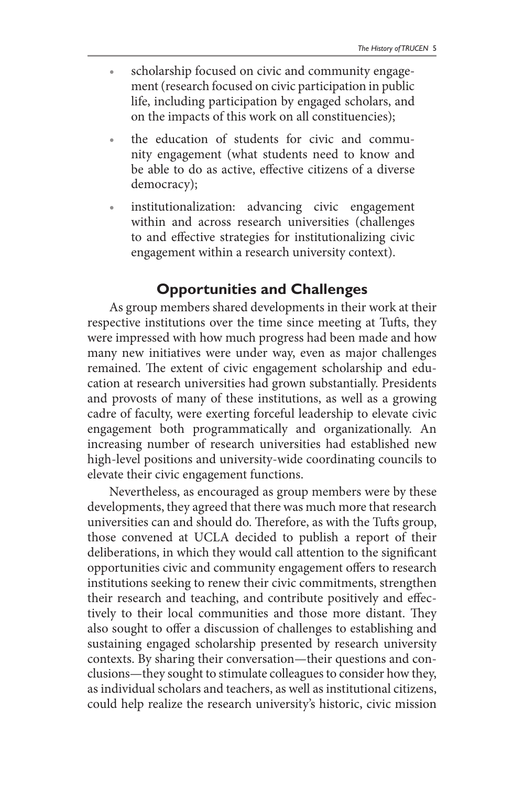- scholarship focused on civic and community engagement (research focused on civic participation in public life, including participation by engaged scholars, and on the impacts of this work on all constituencies);
- the education of students for civic and community engagement (what students need to know and be able to do as active, effective citizens of a diverse democracy);
- institutionalization: advancing civic engagement within and across research universities (challenges to and effective strategies for institutionalizing civic engagement within a research university context).

#### **Opportunities and Challenges**

As group members shared developments in their work at their respective institutions over the time since meeting at Tufts, they were impressed with how much progress had been made and how many new initiatives were under way, even as major challenges remained. The extent of civic engagement scholarship and education at research universities had grown substantially. Presidents and provosts of many of these institutions, as well as a growing cadre of faculty, were exerting forceful leadership to elevate civic engagement both programmatically and organizationally. An increasing number of research universities had established new high-level positions and university-wide coordinating councils to elevate their civic engagement functions.

Nevertheless, as encouraged as group members were by these developments, they agreed that there was much more that research universities can and should do. Therefore, as with the Tufts group, those convened at UCLA decided to publish a report of their deliberations, in which they would call attention to the significant opportunities civic and community engagement offers to research institutions seeking to renew their civic commitments, strengthen their research and teaching, and contribute positively and effectively to their local communities and those more distant. They also sought to offer a discussion of challenges to establishing and sustaining engaged scholarship presented by research university contexts. By sharing their conversation—their questions and conclusions—they sought to stimulate colleagues to consider how they, as individual scholars and teachers, as well as institutional citizens, could help realize the research university's historic, civic mission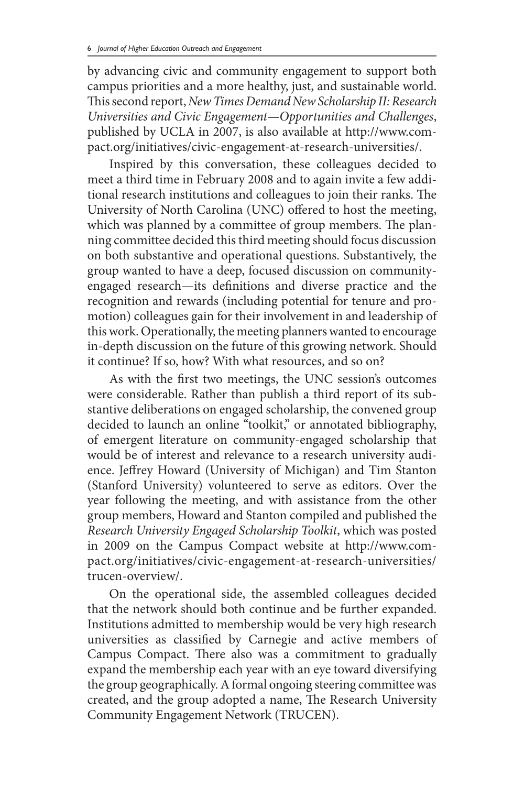by advancing civic and community engagement to support both campus priorities and a more healthy, just, and sustainable world. This second report, *New Times Demand New Scholarship II: Research Universities and Civic Engagement—Opportunities and Challenges*, published by UCLA in 2007, is also available at http://www.compact.org/initiatives/civic-engagement-at-research-universities/.

Inspired by this conversation, these colleagues decided to meet a third time in February 2008 and to again invite a few additional research institutions and colleagues to join their ranks. The University of North Carolina (UNC) offered to host the meeting, which was planned by a committee of group members. The planning committee decided this third meeting should focus discussion on both substantive and operational questions. Substantively, the group wanted to have a deep, focused discussion on communityengaged research—its definitions and diverse practice and the recognition and rewards (including potential for tenure and promotion) colleagues gain for their involvement in and leadership of this work. Operationally, the meeting planners wanted to encourage in-depth discussion on the future of this growing network. Should it continue? If so, how? With what resources, and so on?

As with the first two meetings, the UNC session's outcomes were considerable. Rather than publish a third report of its substantive deliberations on engaged scholarship, the convened group decided to launch an online "toolkit," or annotated bibliography, of emergent literature on community-engaged scholarship that would be of interest and relevance to a research university audience. Jeffrey Howard (University of Michigan) and Tim Stanton (Stanford University) volunteered to serve as editors. Over the year following the meeting, and with assistance from the other group members, Howard and Stanton compiled and published the *Research University Engaged Scholarship Toolkit*, which was posted in 2009 on the Campus Compact website at http://www.compact.org/initiatives/civic-engagement-at-research-universities/ trucen-overview/.

On the operational side, the assembled colleagues decided that the network should both continue and be further expanded. Institutions admitted to membership would be very high research universities as classified by Carnegie and active members of Campus Compact. There also was a commitment to gradually expand the membership each year with an eye toward diversifying the group geographically. A formal ongoing steering committee was created, and the group adopted a name, The Research University Community Engagement Network (TRUCEN).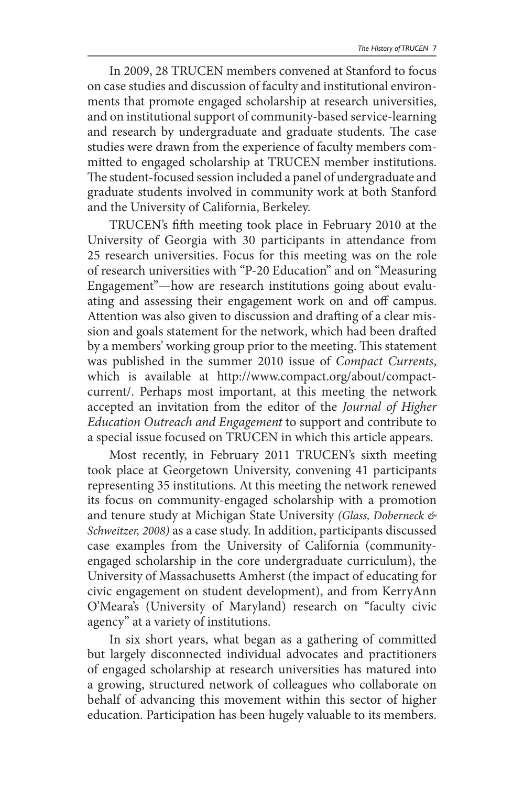In 2009, 28 TRUCEN members convened at Stanford to focus on case studies and discussion of faculty and institutional environments that promote engaged scholarship at research universities, and on institutional support of community-based service-learning and research by undergraduate and graduate students. The case studies were drawn from the experience of faculty members committed to engaged scholarship at TRUCEN member institutions. The student-focused session included a panel of undergraduate and graduate students involved in community work at both Stanford and the University of California, Berkeley.

TRUCEN's fifth meeting took place in February 2010 at the University of Georgia with 30 participants in attendance from 25 research universities. Focus for this meeting was on the role of research universities with "P-20 Education" and on "Measuring Engagement"—how are research institutions going about evaluating and assessing their engagement work on and off campus. Attention was also given to discussion and drafting of a clear mission and goals statement for the network, which had been drafted by a members' working group prior to the meeting. This statement was published in the summer 2010 issue of *Compact Currents*, which is available at http://www.compact.org/about/compactcurrent/. Perhaps most important, at this meeting the network accepted an invitation from the editor of the *Journal of Higher Education Outreach and Engagement* to support and contribute to a special issue focused on TRUCEN in which this article appears.

Most recently, in February 2011 TRUCEN's sixth meeting took place at Georgetown University, convening 41 participants representing 35 institutions. At this meeting the network renewed its focus on community-engaged scholarship with a promotion and tenure study at Michigan State University *(Glass, Doberneck & Schweitzer, 2008)* as a case study. In addition, participants discussed case examples from the University of California (communityengaged scholarship in the core undergraduate curriculum), the University of Massachusetts Amherst (the impact of educating for civic engagement on student development), and from KerryAnn O'Meara's (University of Maryland) research on "faculty civic agency" at a variety of institutions.

In six short years, what began as a gathering of committed but largely disconnected individual advocates and practitioners of engaged scholarship at research universities has matured into a growing, structured network of colleagues who collaborate on behalf of advancing this movement within this sector of higher education. Participation has been hugely valuable to its members.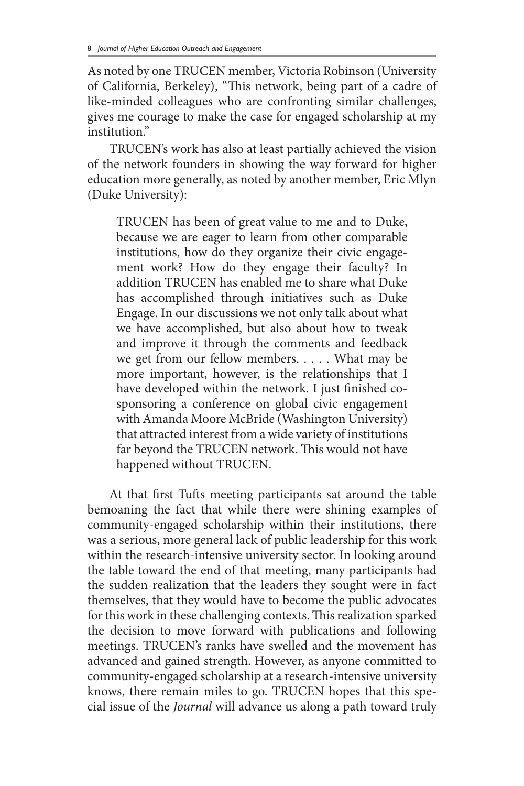As noted by one TRUCEN member, Victoria Robinson (University of California, Berkeley), "This network, being part of a cadre of like-minded colleagues who are confronting similar challenges, gives me courage to make the case for engaged scholarship at my institution"

TRUCEN's work has also at least partially achieved the vision of the network founders in showing the way forward for higher education more generally, as noted by another member, Eric Mlyn (Duke University):

TRUCEN has been of great value to me and to Duke, because we are eager to learn from other comparable institutions, how do they organize their civic engagement work? How do they engage their faculty? In addition TRUCEN has enabled me to share what Duke has accomplished through initiatives such as Duke Engage. In our discussions we not only talk about what we have accomplished, but also about how to tweak and improve it through the comments and feedback we get from our fellow members. . . . . What may be more important, however, is the relationships that I have developed within the network. I just finished cosponsoring a conference on global civic engagement with Amanda Moore McBride (Washington University) that attracted interest from a wide variety of institutions far beyond the TRUCEN network. This would not have happened without TRUCEN.

At that first Tufts meeting participants sat around the table bemoaning the fact that while there were shining examples of community-engaged scholarship within their institutions, there was a serious, more general lack of public leadership for this work within the research-intensive university sector. In looking around the table toward the end of that meeting, many participants had the sudden realization that the leaders they sought were in fact themselves, that they would have to become the public advocates for this work in these challenging contexts. This realization sparked the decision to move forward with publications and following meetings. TRUCEN's ranks have swelled and the movement has advanced and gained strength. However, as anyone committed to community-engaged scholarship at a research-intensive university knows, there remain miles to go. TRUCEN hopes that this special issue of the *Journal* will advance us along a path toward truly